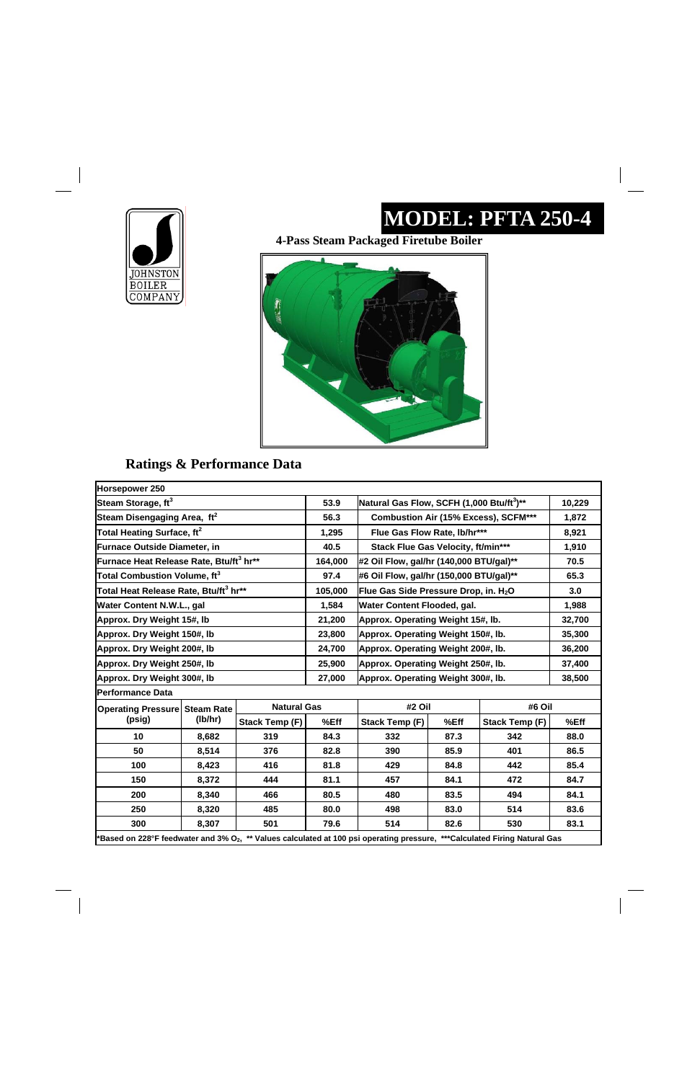# **JOHNSTON**<br>BOILER<br>COMPANY

 $\overline{\phantom{a}}$ 

### **MODEL: PFTA 250-4**

 $\frac{1}{\sqrt{2}}$ 

#### **Ratings & Performance Data**

**4-Pass Steam Packaged Firetube Boiler** 



| Horsepower 250                                      |         |                    |         |                                                       |      |                       |        |
|-----------------------------------------------------|---------|--------------------|---------|-------------------------------------------------------|------|-----------------------|--------|
| Steam Storage, ft <sup>3</sup>                      |         |                    | 53.9    | Natural Gas Flow, SCFH (1,000 Btu/ft <sup>3</sup> )** |      |                       | 10,229 |
| Steam Disengaging Area, ft <sup>2</sup>             |         |                    | 56.3    | <b>Combustion Air (15% Excess), SCFM***</b>           |      |                       | 1,872  |
| Total Heating Surface, ft <sup>2</sup>              |         |                    | 1,295   | Flue Gas Flow Rate, lb/hr***                          |      |                       | 8,921  |
| <b>Furnace Outside Diameter, in</b>                 |         |                    | 40.5    | Stack Flue Gas Velocity, ft/min***                    |      |                       | 1,910  |
| Furnace Heat Release Rate, Btu/ft <sup>3</sup> hr** |         |                    | 164,000 | #2 Oil Flow, gal/hr (140,000 BTU/gal)**               |      |                       | 70.5   |
| Total Combustion Volume, ft <sup>3</sup>            |         |                    | 97.4    | #6 Oil Flow, gal/hr (150,000 BTU/gal)**               |      |                       | 65.3   |
| Total Heat Release Rate, Btu/ft <sup>3</sup> hr**   |         |                    | 105,000 | Flue Gas Side Pressure Drop, in. H <sub>2</sub> O     |      |                       | 3.0    |
| Water Content N.W.L., gal                           |         |                    | 1,584   | Water Content Flooded, gal.                           |      |                       | 1,988  |
| Approx. Dry Weight 15#, lb                          |         |                    | 21,200  | Approx. Operating Weight 15#, Ib.                     |      |                       | 32,700 |
| Approx. Dry Weight 150#, lb                         |         |                    | 23,800  | Approx. Operating Weight 150#, lb.                    |      |                       | 35,300 |
| Approx. Dry Weight 200#, lb                         |         |                    | 24,700  | Approx. Operating Weight 200#, lb.                    |      |                       | 36,200 |
| Approx. Dry Weight 250#, Ib                         |         |                    | 25,900  | Approx. Operating Weight 250#, lb.                    |      |                       | 37,400 |
| Approx. Dry Weight 300#, Ib                         |         |                    | 27,000  | Approx. Operating Weight 300#, lb.                    |      |                       | 38,500 |
| <b>Performance Data</b>                             |         |                    |         |                                                       |      |                       |        |
| <b>Operating Pressure Steam Rate</b>                |         | <b>Natural Gas</b> |         | #2 Oil                                                |      | #6 Oil                |        |
| (psig)                                              | (lb/hr) | Stack Temp (F)     | %Eff    | <b>Stack Temp (F)</b>                                 | %Eff | <b>Stack Temp (F)</b> | %Eff   |
| 10                                                  | 8,682   | 319                | 84.3    | 332                                                   | 87.3 | 342                   | 88.0   |
| 50                                                  | 8,514   | 376                | 82.8    | 390                                                   | 85.9 | 401                   | 86.5   |
| 100                                                 | 8,423   | 416                | 81.8    | 429                                                   | 84.8 | 442                   | 85.4   |
| 150                                                 | 8,372   | 444                | 81.1    | 457                                                   | 84.1 | 472                   | 84.7   |

| ** Values calculated at 100 psi operating pressure,<br><b>***Calculated Firing Natural Gas</b><br><b>Example 128°F</b> feedwater and $3\%$ O <sub>2</sub> , |       |     |      |     |      |     |      |
|-------------------------------------------------------------------------------------------------------------------------------------------------------------|-------|-----|------|-----|------|-----|------|
| 300                                                                                                                                                         | 8.307 | 501 | 79.6 | 514 | 82.6 | 530 | 83.1 |
| 250                                                                                                                                                         | 8.320 | 485 | 80.0 | 498 | 83.0 | 514 | 83.6 |
| 200                                                                                                                                                         | 8,340 | 466 | 80.5 | 480 | 83.5 | 494 | 84.1 |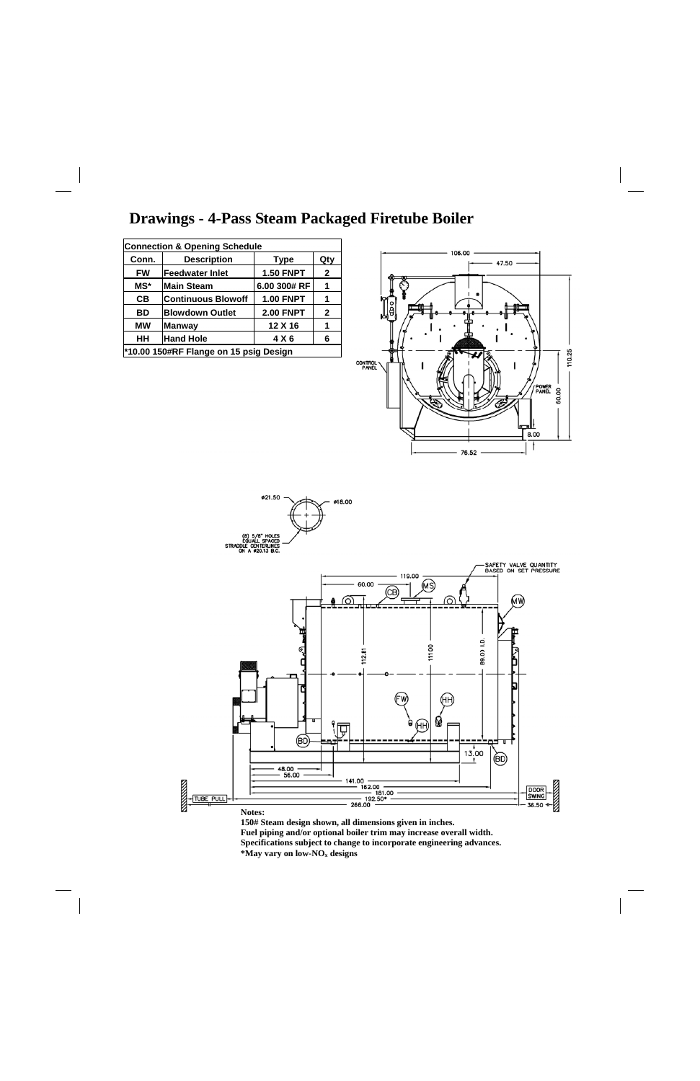#### **Drawings - 4-Pass Steam Packaged Firetube Boiler**





**Fuel piping and/or optional boiler trim may increase overall width.** 

**Specifications subject to change to incorporate engineering advances.** 

**\*May vary on low-NOx designs** 

| <b>Connection &amp; Opening Schedule</b> |                                          |                  |             |  |  |  |
|------------------------------------------|------------------------------------------|------------------|-------------|--|--|--|
| Conn.                                    | <b>Description</b><br><b>Type</b><br>Qty |                  |             |  |  |  |
| <b>FW</b>                                | <b>Feedwater Inlet</b>                   | <b>1.50 FNPT</b> | $\mathbf 2$ |  |  |  |
| MS*                                      | <b>Main Steam</b>                        | 6.00 300# RF     | 1           |  |  |  |
| CВ                                       | <b>Continuous Blowoff</b>                | <b>1.00 FNPT</b> | 1           |  |  |  |
| <b>BD</b>                                | <b>Blowdown Outlet</b>                   | <b>2.00 FNPT</b> | 2           |  |  |  |
| <b>MW</b>                                | <b>Manway</b>                            | 12 X 16          | 1           |  |  |  |
| HН<br><b>Hand Hole</b><br>4 X 6<br>6     |                                          |                  |             |  |  |  |
| *10.00 150#RF Flange on 15 psig Design   |                                          |                  |             |  |  |  |
|                                          |                                          |                  |             |  |  |  |

 $\mathbf{I}$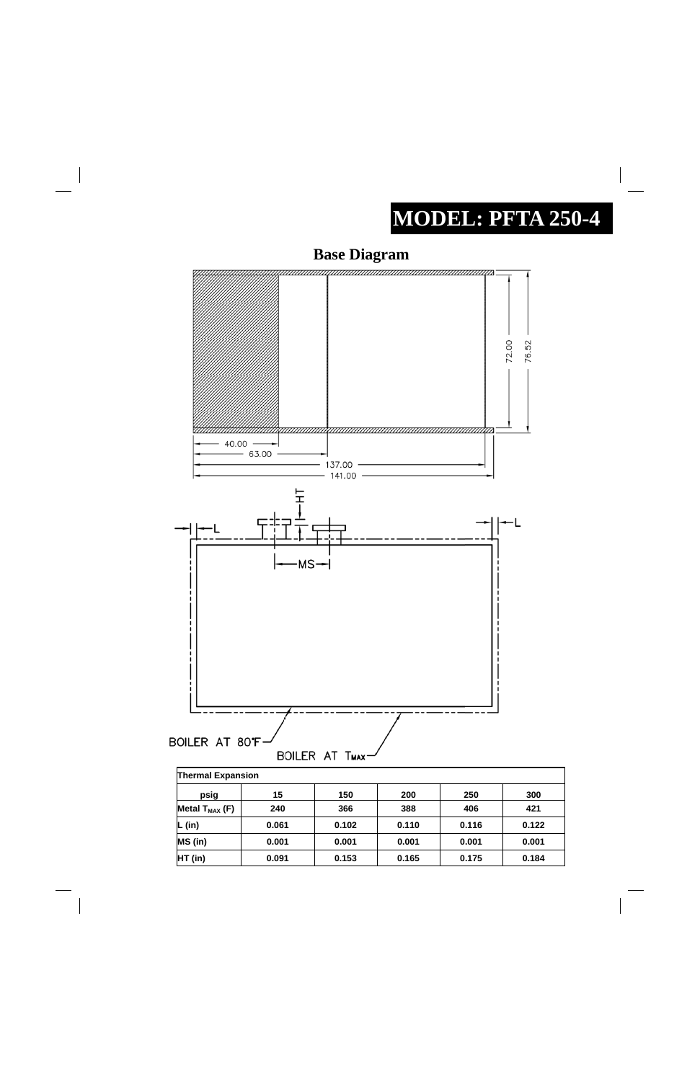# **MODEL: PFTA 250-4**

 $\begin{array}{c} \hline \end{array}$ 





| ∏nermai Expansion   |       |       |       |       |       |  |
|---------------------|-------|-------|-------|-------|-------|--|
| psig                | 15    | 150   | 200   | 250   | 300   |  |
| Metal $T_{MAX}$ (F) | 240   | 366   | 388   | 406   | 421   |  |
| (in)                | 0.061 | 0.102 | 0.110 | 0.116 | 0.122 |  |
| MS (in)             | 0.001 | 0.001 | 0.001 | 0.001 | 0.001 |  |
| HT (in)             | 0.091 | 0.153 | 0.165 | 0.175 | 0.184 |  |

 $\overline{\phantom{a}}$